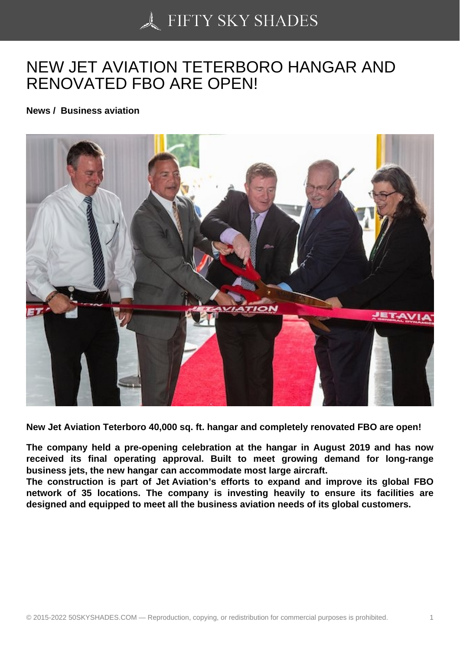## [NEW JET AVIATION T](https://50skyshades.com)ETERBORO HANGAR AND RENOVATED FBO ARE OPEN!

News / Business aviation

New Jet Aviation Teterboro 40,000 sq. ft. hangar and completely renovated FBO are open!

The company held a pre-opening celebration at the hangar in August 2019 and has now received its final operating approval. Built to meet growing demand for long-range business jets, the new hangar can accommodate most large aircraft.

The construction is part of Jet Aviation's efforts to expand and improve its global FBO network of 35 locations. The company is investing heavily to ensure its facilities are designed and equipped to meet all the business aviation needs of its global customers.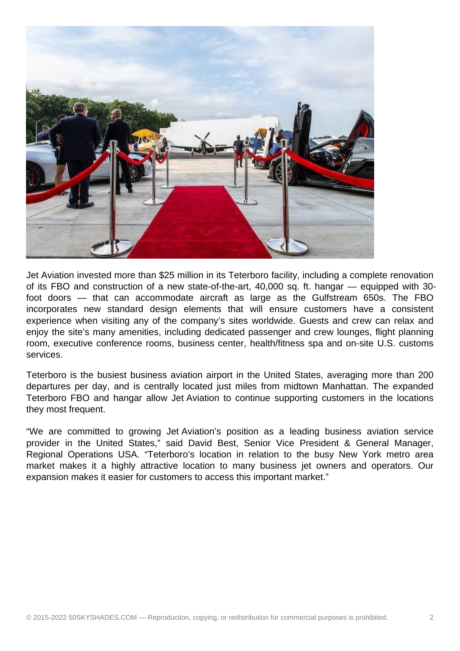

Jet Aviation invested more than \$25 million in its Teterboro facility, including a complete renovation of its FBO and construction of a new state-of-the-art, 40,000 sq. ft. hangar — equipped with 30 foot doors — that can accommodate aircraft as large as the Gulfstream 650s. The FBO incorporates new standard design elements that will ensure customers have a consistent experience when visiting any of the company's sites worldwide. Guests and crew can relax and enjoy the site's many amenities, including dedicated passenger and crew lounges, flight planning room, executive conference rooms, business center, health/fitness spa and on-site U.S. customs services.

Teterboro is the busiest business aviation airport in the United States, averaging more than 200 departures per day, and is centrally located just miles from midtown Manhattan. The expanded Teterboro FBO and hangar allow Jet Aviation to continue supporting customers in the locations they most frequent.

"We are committed to growing Jet Aviation's position as a leading business aviation service provider in the United States," said David Best, Senior Vice President & General Manager, Regional Operations USA. "Teterboro's location in relation to the busy New York metro area market makes it a highly attractive location to many business jet owners and operators. Our expansion makes it easier for customers to access this important market."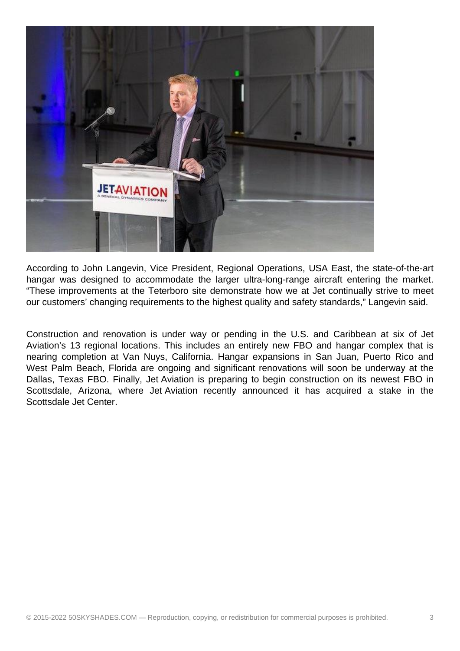

According to John Langevin, Vice President, Regional Operations, USA East, the state-of-the-art hangar was designed to accommodate the larger ultra-long-range aircraft entering the market. "These improvements at the Teterboro site demonstrate how we at Jet continually strive to meet our customers' changing requirements to the highest quality and safety standards," Langevin said.

Construction and renovation is under way or pending in the U.S. and Caribbean at six of Jet Aviation's 13 regional locations. This includes an entirely new FBO and hangar complex that is nearing completion at Van Nuys, California. Hangar expansions in San Juan, Puerto Rico and West Palm Beach. Florida are ongoing and significant renovations will soon be underway at the Dallas, Texas FBO. Finally, Jet Aviation is preparing to begin construction on its newest FBO in Scottsdale, Arizona, where Jet Aviation recently announced it has acquired a stake in the Scottsdale Jet Center.